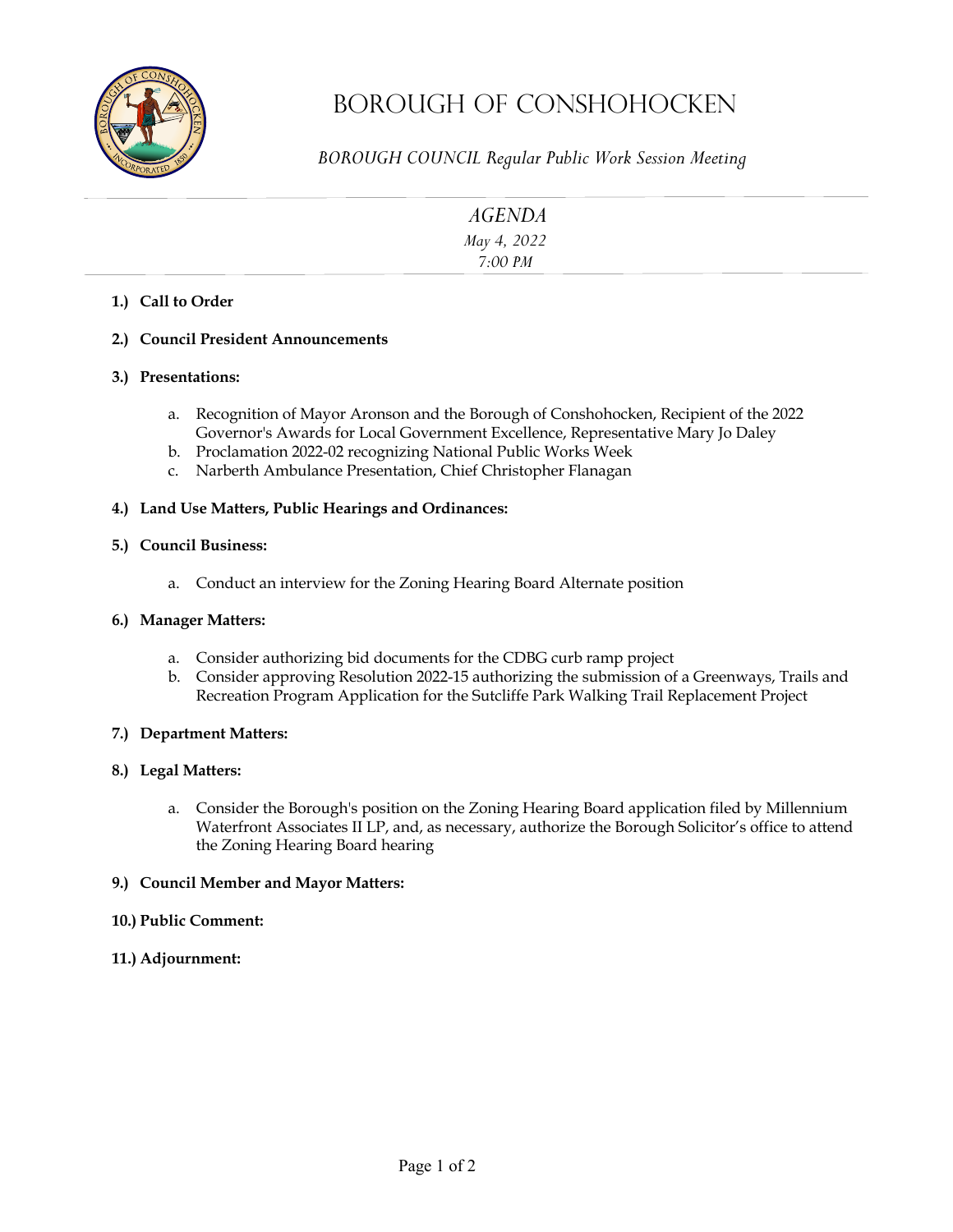

# Borough OF Conshohocken

*BOROUGH COUNCIL Regular Public Work Session Meeting* 

| <b>AGENDA</b>          |  |
|------------------------|--|
| May 4, 2022<br>7:00 PM |  |
|                        |  |
|                        |  |

# **1.) Call to Order**

#### **2.) Council President Announcements**

#### **3.) Presentations:**

- a. Recognition of Mayor Aronson and the Borough of Conshohocken, Recipient of the 2022 Governor's Awards for Local Government Excellence, Representative Mary Jo Daley
- b. Proclamation 2022-02 recognizing National Public Works Week
- c. Narberth Ambulance Presentation, Chief Christopher Flanagan

#### **4.) Land Use Matters, Public Hearings and Ordinances:**

#### **5.) Council Business:**

a. Conduct an interview for the Zoning Hearing Board Alternate position

#### **6.) Manager Matters:**

- a. Consider authorizing bid documents for the CDBG curb ramp project
- b. Consider approving Resolution 2022-15 authorizing the submission of a Greenways, Trails and Recreation Program Application for the Sutcliffe Park Walking Trail Replacement Project

#### **7.) Department Matters:**

#### **8.) Legal Matters:**

a. Consider the Borough's position on the Zoning Hearing Board application filed by Millennium Waterfront Associates II LP, and, as necessary, authorize the Borough Solicitor's office to attend the Zoning Hearing Board hearing

#### **9.) Council Member and Mayor Matters:**

# **10.) Public Comment:**

**11.) Adjournment:**